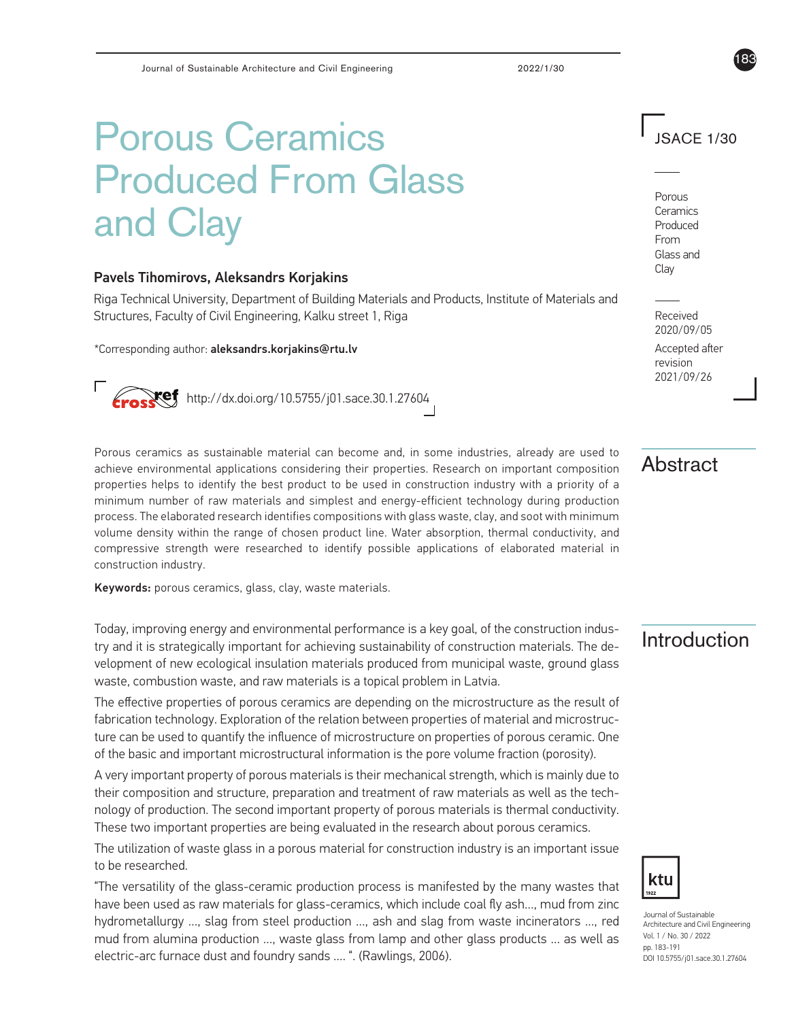# Porous Ceramics Produced From Glass and Clay

#### Pavels Tihomirovs, Aleksandrs Korjakins

Riga Technical University, Department of Building Materials and Products, Institute of Materials and Structures, Faculty of Civil Engineering, Kalku street 1, Riga

\*Corresponding author: aleksandrs.korjakins@rtu.lv

http://dx.doi.org/10.5755/j01.sace.30.1.27604

Porous ceramics as sustainable material can become and, in some industries, already are used to achieve environmental applications considering their properties. Research on important composition properties helps to identify the best product to be used in construction industry with a priority of a minimum number of raw materials and simplest and energy-efficient technology during production process. The elaborated research identifies compositions with glass waste, clay, and soot with minimum volume density within the range of chosen product line. Water absorption, thermal conductivity, and compressive strength were researched to identify possible applications of elaborated material in construction industry.

Keywords: porous ceramics, glass, clay, waste materials.

Today, improving energy and environmental performance is a key goal, of the construction indus-<br>try and it is strategically important for achieving sustainability of construction materials. The de-**Allant Con** velopment of new ecological insulation materials produced from municipal waste, ground glass waste, combustion waste, and raw materials is a topical problem in Latvia.

The effective properties of porous ceramics are depending on the microstructure as the result of fabrication technology. Exploration of the relation between properties of material and microstructure can be used to quantify the influence of microstructure on properties of porous ceramic. One of the basic and important microstructural information is the pore volume fraction (porosity).

A very important property of porous materials is their mechanical strength, which is mainly due to their composition and structure, preparation and treatment of raw materials as well as the technology of production. The second important property of porous materials is thermal conductivity. These two important properties are being evaluated in the research about porous ceramics.

The utilization of waste glass in a porous material for construction industry is an important issue to be researched.

"The versatility of the glass-ceramic production process is manifested by the many wastes that have been used as raw materials for glass-ceramics, which include coal fly ash…, mud from zinc hydrometallurgy …, slag from steel production …, ash and slag from waste incinerators …, red mud from alumina production …, waste glass from lamp and other glass products … as well as electric-arc furnace dust and foundry sands …. ". (Rawlings, 2006).

JSACE 1/30

183

Porous Ceramics Produced From Glass and Clay

Received 2020/09/05

Accepted after revision 2021/09/26

# Abstract



Journal of Sustainable Architecture and Civil Engineering Vol. 1 / No. 30 / 2022 pp. 183-191 DOI 10.5755/j01.sace.30.1.27604

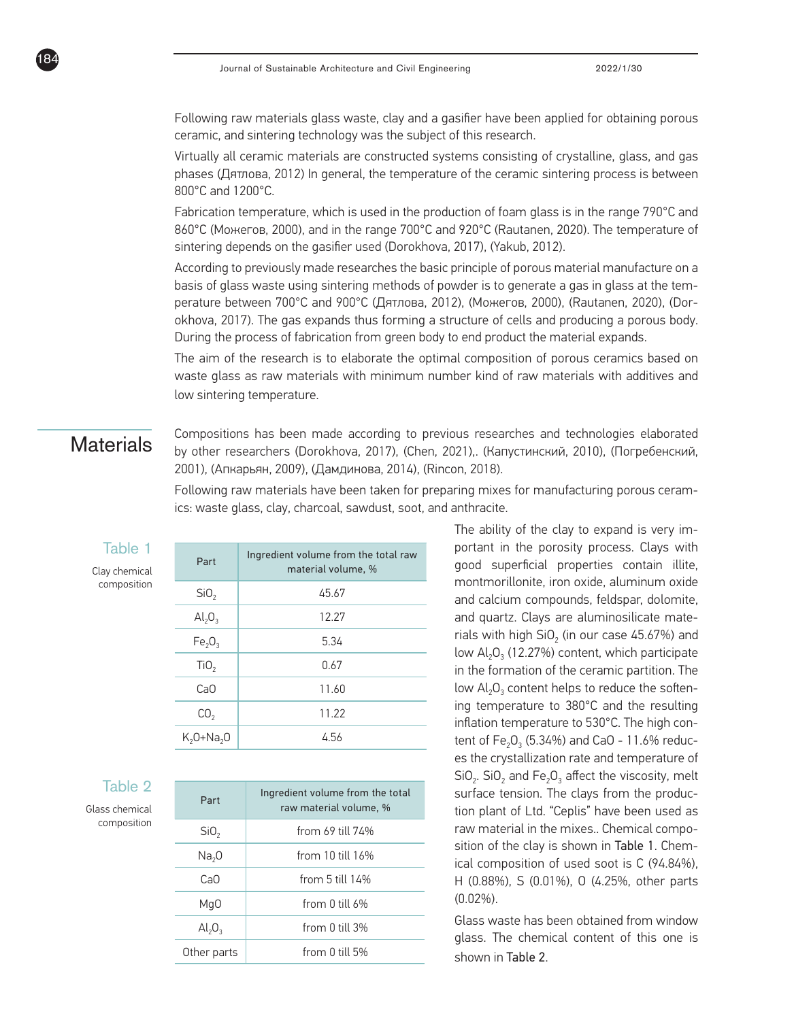Following raw materials glass waste, clay and a gasifier have been applied for obtaining porous ceramic, and sintering technology was the subject of this research.

Virtually all ceramic materials are constructed systems consisting of crystalline, glass, and gas phases (Дятлова, 2012) In general, the temperature of the ceramic sintering process is between 800°C and 1200°C.

Fabrication temperature, which is used in the production of foam glass is in the range 790°C and 860°C (Можегов, 2000), and in the range 700°C and 920°C (Rautanen, 2020). The temperature of sintering depends on the gasifier used (Dorokhova, 2017), (Yakub, 2012).

According to previously made researches the basic principle of porous material manufacture on a basis of glass waste using sintering methods of powder is to generate a gas in glass at the temperature between 700°C and 900°C (Дятлова, 2012), (Можегов, 2000), (Rautanen, 2020), (Dorokhova, 2017). The gas expands thus forming a structure of cells and producing a porous body. During the process of fabrication from green body to end product the material expands.

The aim of the research is to elaborate the optimal composition of porous ceramics based on waste glass as raw materials with minimum number kind of raw materials with additives and low sintering temperature.

184

**Materials** Compositions has been made according to previous researches and technologies elaborated<br>**Materials** by other researchers (Dorokhova, 2017), (Chen, 2021),. (Капустинский, 2010), (Погребенский, 2001), (Апкарьян, 2009), (Дамдинова, 2014), (Rincon, 2018).

> Following raw materials have been taken for preparing mixes for manufacturing porous ceramics: waste glass, clay, charcoal, sawdust, soot, and anthracite.

#### Table 1

Clay chemical composition

| Part                               | Ingredient volume from the total raw<br>material volume, % |  |
|------------------------------------|------------------------------------------------------------|--|
| SiO <sub>2</sub>                   | 45.67                                                      |  |
| $\mathsf{Al}_2\mathsf{O}_3$        | 12.27                                                      |  |
| Fe <sub>2</sub> O <sub>3</sub>     | 5.34                                                       |  |
| TiO <sub>2</sub>                   | 0.67                                                       |  |
| CaO                                | 11.60                                                      |  |
| CO <sub>2</sub>                    | 11.22                                                      |  |
| K <sub>2</sub> 0+Na <sub>2</sub> 0 | 4.56                                                       |  |
|                                    |                                                            |  |

#### Table 2

Glass chemical composition

| Part              | Ingredient volume from the total<br>raw material volume, % |
|-------------------|------------------------------------------------------------|
| SiO <sub>2</sub>  | from 69 till 74%                                           |
| Na <sub>2</sub> 0 | from 10 till $16\%$                                        |
| CaO               | from 5 till $14\%$                                         |
| MgO               | from 0 till 6%                                             |
| $Al_2O_3$         | from 0 till 3%                                             |
| Other parts       | from 0 till 5%                                             |

The ability of the clay to expand is very important in the porosity process. Clays with good superficial properties contain illite, montmorillonite, iron oxide, aluminum oxide and calcium compounds, feldspar, dolomite, and quartz. Clays are aluminosilicate materials with high  $SiO<sub>2</sub>$  (in our case 45.67%) and low  $Al_2O_3$  (12.27%) content, which participate in the formation of the ceramic partition. The low  $Al_2O_3$  content helps to reduce the softening temperature to 380°C and the resulting inflation temperature to 530°C. The high content of  $Fe_2O_3$  (5.34%) and CaO - 11.6% reduces the crystallization rate and temperature of  $SiO<sub>2</sub>$ . SiO<sub>2</sub> and Fe<sub>2</sub>O<sub>3</sub> affect the viscosity, melt surface tension. The clays from the production plant of Ltd. "Ceplis" have been used as raw material in the mixes.. Chemical composition of the clay is shown in Table 1. Chemical composition of used soot is C (94.84%), H (0.88%), S (0.01%), O (4.25%, other parts (0.02%).

Glass waste has been obtained from window glass. The chemical content of this one is shown in Table 2.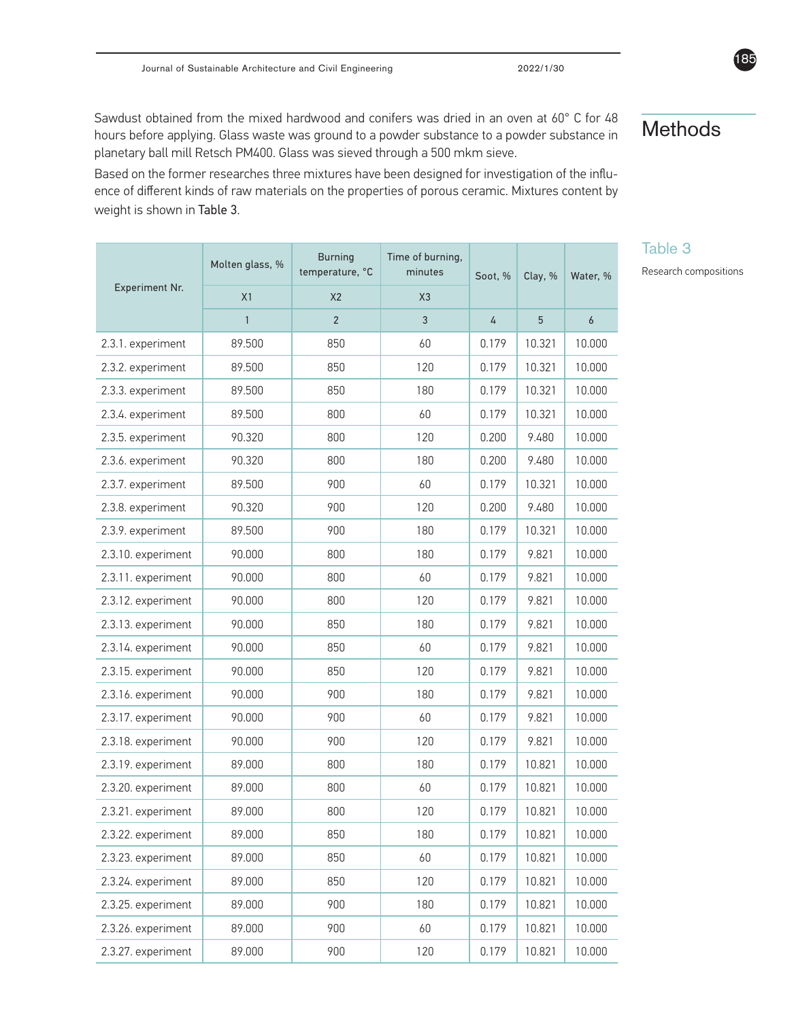Sawdust obtained from the mixed hardwood and conifers was dried in an oven at 60° C for 48 hours before applying. Glass waste was ground to a powder substance to a powder substance in planetary ball mill Retsch PM400. Glass was sieved through a 500 mkm sieve.

Based on the former researches three mixtures have been designed for investigation of the influence of different kinds of raw materials on the properties of porous ceramic. Mixtures content by weight is shown in Table 3.

|                    | Molten glass, % | <b>Burning</b><br>temperature, °C | Time of burning,<br>minutes | Soot, % | Clay, % | Water, %         |
|--------------------|-----------------|-----------------------------------|-----------------------------|---------|---------|------------------|
| Experiment Nr.     | X1              | X <sub>2</sub>                    | X3                          |         |         |                  |
|                    | $\mathbf{1}$    | $\overline{2}$                    | $\overline{3}$              | 4       | 5       | $\boldsymbol{6}$ |
| 2.3.1. experiment  | 89.500          | 850                               | 60                          | 0.179   | 10.321  | 10.000           |
| 2.3.2. experiment  | 89.500          | 850                               | 120                         | 0.179   | 10.321  | 10.000           |
| 2.3.3. experiment  | 89.500          | 850                               | 180                         | 0.179   | 10.321  | 10.000           |
| 2.3.4. experiment  | 89.500          | 800                               | 60                          | 0.179   | 10.321  | 10.000           |
| 2.3.5. experiment  | 90.320          | 800                               | 120                         | 0.200   | 9.480   | 10.000           |
| 2.3.6. experiment  | 90.320          | 800                               | 180                         | 0.200   | 9.480   | 10.000           |
| 2.3.7. experiment  | 89.500          | 900                               | 60                          | 0.179   | 10.321  | 10.000           |
| 2.3.8. experiment  | 90.320          | 900                               | 120                         | 0.200   | 9.480   | 10.000           |
| 2.3.9. experiment  | 89.500          | 900                               | 180                         | 0.179   | 10.321  | 10.000           |
| 2.3.10. experiment | 90.000          | 800                               | 180                         | 0.179   | 9.821   | 10.000           |
| 2.3.11. experiment | 90.000          | 800                               | 60                          | 0.179   | 9.821   | 10.000           |
| 2.3.12. experiment | 90.000          | 800                               | 120                         | 0.179   | 9.821   | 10.000           |
| 2.3.13. experiment | 90.000          | 850                               | 180                         | 0.179   | 9.821   | 10.000           |
| 2.3.14. experiment | 90.000          | 850                               | 60                          | 0.179   | 9.821   | 10.000           |
| 2.3.15. experiment | 90.000          | 850                               | 120                         | 0.179   | 9.821   | 10.000           |
| 2.3.16. experiment | 90.000          | 900                               | 180                         | 0.179   | 9.821   | 10.000           |
| 2.3.17. experiment | 90.000          | 900                               | 60                          | 0.179   | 9.821   | 10.000           |
| 2.3.18. experiment | 90.000          | 900                               | 120                         | 0.179   | 9.821   | 10.000           |
| 2.3.19. experiment | 89.000          | 800                               | 180                         | 0.179   | 10.821  | 10.000           |
| 2.3.20. experiment | 89.000          | 800                               | 60                          | 0.179   | 10.821  | 10.000           |
| 2.3.21. experiment | 89.000          | 800                               | 120                         | 0.179   | 10.821  | 10.000           |
| 2.3.22. experiment | 89.000          | 850                               | 180                         | 0.179   | 10.821  | 10.000           |
| 2.3.23. experiment | 89.000          | 850                               | 60                          | 0.179   | 10.821  | 10.000           |
| 2.3.24. experiment | 89.000          | 850                               | 120                         | 0.179   | 10.821  | 10.000           |
| 2.3.25. experiment | 89.000          | 900                               | 180                         | 0.179   | 10.821  | 10.000           |
| 2.3.26. experiment | 89.000          | 900                               | 60                          | 0.179   | 10.821  | 10.000           |
| 2.3.27. experiment | 89.000          | 900                               | 120                         | 0.179   | 10.821  | 10.000           |

# Methods

Table 3

Research compositions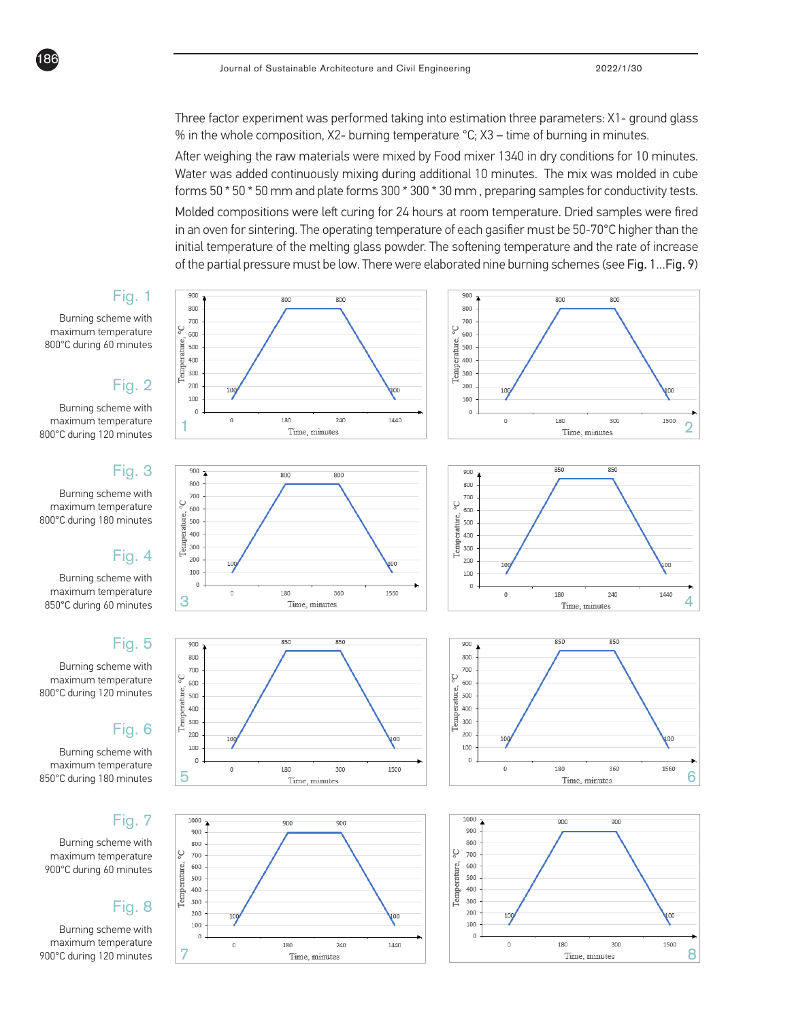Three factor experiment was performed taking into estimation three parameters: X1- ground glass % in the whole composition, X2- burning temperature °C; X3 – time of burning in minutes.

Molded compositions were left curing for 24 hours at room temperature. Dried samples were fired in an oven for sintering. The operating temperature of each gasifier must be 50-70°C higher than the initial temperature of the melting glass powder. The softening temperature and the rate of increase of the partial pressure must be low. There were elaborated nine burning schemes (see Fig. 1...Fig. 9) After weighing the raw materials were mixed by Food mixer 1340 in dry conditions for 10 minutes. Water was added continuously mixing during additional 10 minutes. The mix was molded in cube forms 50 \* 50 \* 50 mm and plate forms 300 \* 300 \* 30 mm , preparing samples for conductivity tests.

## Fig. 1

Burning scheme with maximum temperature 800°C during 60 minutes

186

### Fig. 2

Burning scheme with maximum temperature 800°C during 120 minutes

### Fig. 3

Burning scheme with maximum temperature 800°C during 180 minutes

### Fig. 4

Burning scheme with maximum temperature 850°C during 60 minutes

### Fig. 5

Burning scheme with maximum temperature 800°C during 120 minutes

### Fig. 6

Burning scheme with maximum temperature 850°C during 180 minutes

### Fig. 7

Burning scheme with maximum temperature 900°C during 60 minutes

#### Fig. 8

Burning scheme with maximum temperature 900°C during 120 minutes

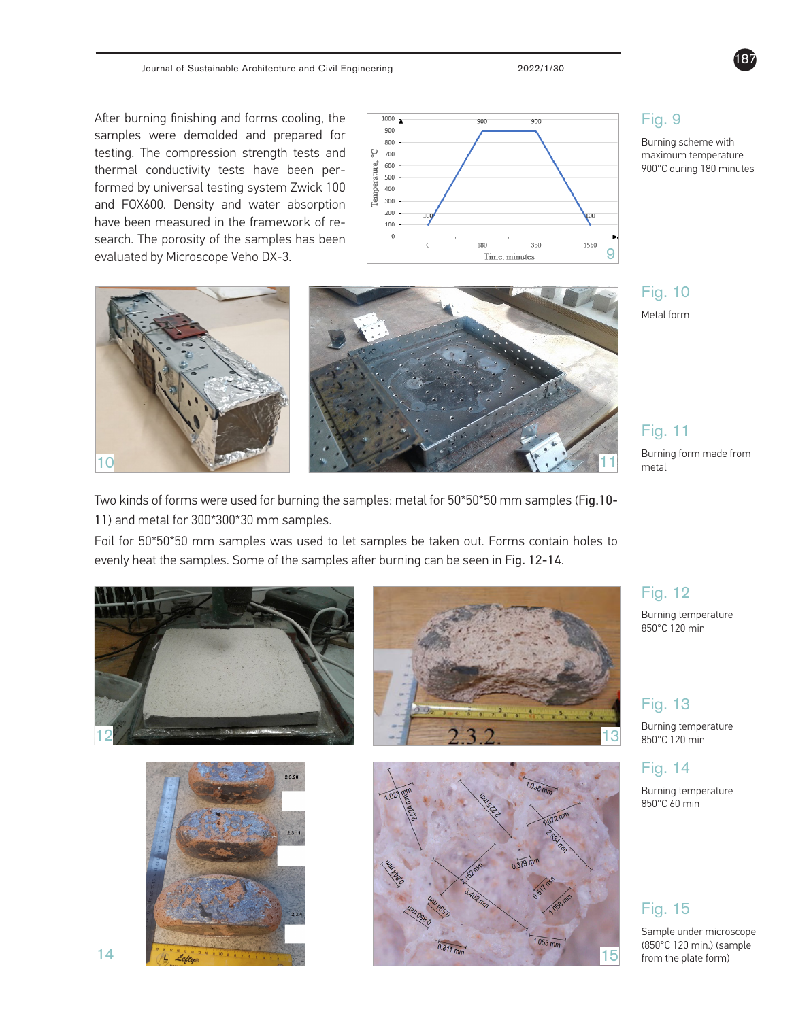After burning finishing and forms cooling, the samples were demolded and prepared for testing. The compression strength tests and thermal conductivity tests have been performed by universal testing system Zwick 100 and FOX600. Density and water absorption have been measured in the framework of research. The porosity of the samples has been



of research. The porosity of the samples has been evaluated by Microscope Veho DX-3.

Two kinds of forms were used for  $\delta$  for  $50^5$ 0.50 mm samples: metal for  $50^5$ 



Burning scheme with maximum temperature 900°C during 180 minutes

187



Fig. 11

**Burning form made from 10** 10 11 metal contract to the state of the state of the state of the state of the state of the state of the state of the state of the state of the state of the state of the state of the state of t

Two kinds of forms were used for burning the samples: metal for 50\*50\*50 mm samples (Fig.10- 11) and metal for 300\*300\*30 mm samples.

and metal for 300 mm samples.

Foil for 50\*50\*50 mm samples was used to let samples be taken out. Forms contain holes to evenly heat the samples. Some of the samples after burning can be seen in Fig. 12-14.



#### Fig. 12

Burning temperature 850°C 120 min

#### Fig. 13

Burning temperature 850°C 120 min

#### Fig. 14

Burning temperature 850°C 60 min

#### Fig. 15

Sample under microscope (850°C 120 min.) (sample from the plate form)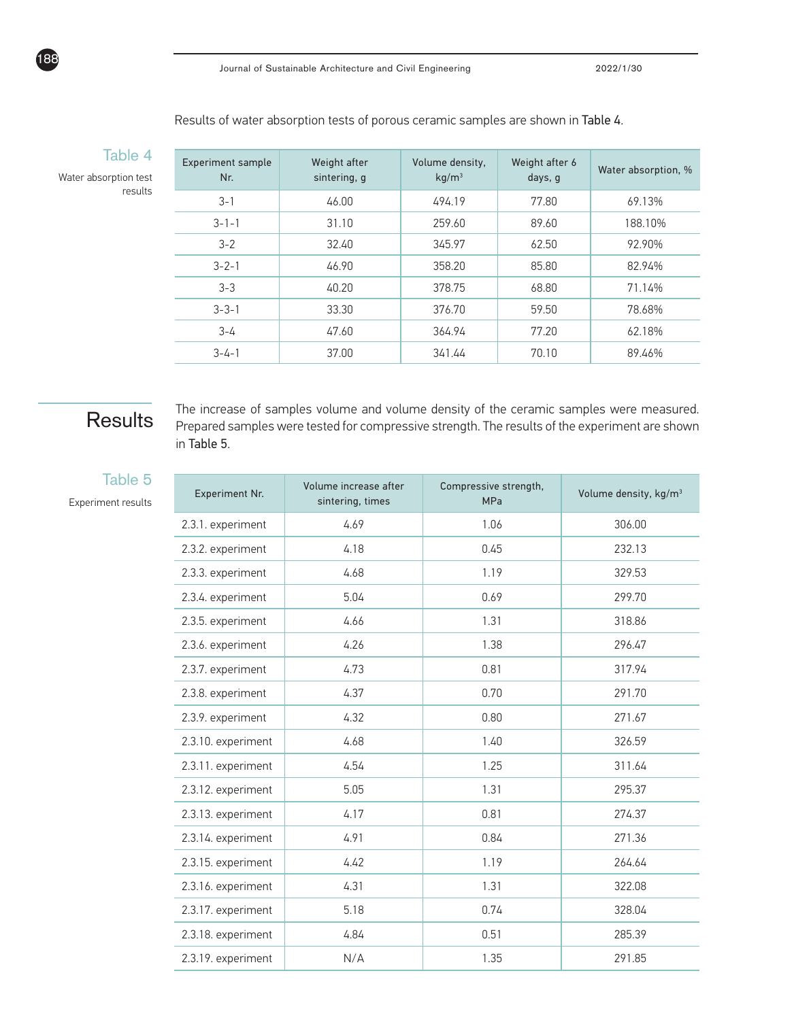| Results of water absorption tests of porous ceramic samples are shown in <b>Table 4</b> . |  |
|-------------------------------------------------------------------------------------------|--|
|-------------------------------------------------------------------------------------------|--|

Water absorption test results

Table 4

188

| <b>Experiment sample</b><br>Nr. | Weight after<br>sintering, g | Volume density,<br>$kq/m^3$ | Weight after 6<br>days, g | Water absorption, % |
|---------------------------------|------------------------------|-----------------------------|---------------------------|---------------------|
| $3 - 1$                         | 46.00                        | 494.19                      | 77.80                     | 69.13%              |
| $3 - 1 - 1$                     | 31.10                        | 259.60                      | 89.60                     | 188.10%             |
| $3 - 2$                         | 32.40                        | 345.97                      | 62.50                     | 92.90%              |
| $3 - 2 - 1$                     | 46.90                        | 358.20                      | 85.80                     | 82.94%              |
| $3 - 3$                         | 40.20                        | 378.75                      | 68.80                     | 71.14%              |
| $3 - 3 - 1$                     | 33.30                        | 376.70                      | 59.50                     | 78.68%              |
| $3 - 4$                         | 47.60                        | 364.94                      | 77.20                     | 62.18%              |
| $3 - 4 - 1$                     | 37.00                        | 341.44                      | 70.10                     | 89.46%              |

# **Results**

The increase of samples volume and volume density of the ceramic samples were measured. Prepared samples were tested for compressive strength. The results of the experiment are shown in Table 5.

#### Table 5

Experiment results

| Experiment Nr.     | Volume increase after<br>sintering, times | Compressive strength,<br><b>MPa</b> | Volume density, kg/m <sup>3</sup> |
|--------------------|-------------------------------------------|-------------------------------------|-----------------------------------|
| 2.3.1. experiment  | 4.69                                      | 1.06                                | 306.00                            |
| 2.3.2. experiment  | 4.18                                      | 0.45                                | 232.13                            |
| 2.3.3. experiment  | 4.68                                      | 1.19                                | 329.53                            |
| 2.3.4. experiment  | 5.04                                      | 0.69                                | 299.70                            |
| 2.3.5. experiment  | 4.66                                      | 1.31                                | 318.86                            |
| 2.3.6. experiment  | 4.26                                      | 1.38                                | 296.47                            |
| 2.3.7. experiment  | 4.73                                      | 0.81                                | 317.94                            |
| 2.3.8. experiment  | 4.37                                      | 0.70                                | 291.70                            |
| 2.3.9. experiment  | 4.32                                      | 0.80                                | 271.67                            |
| 2.3.10. experiment | 4.68                                      | 1.40                                | 326.59                            |
| 2.3.11. experiment | 4.54                                      | 1.25                                | 311.64                            |
| 2.3.12. experiment | 5.05                                      | 1.31                                | 295.37                            |
| 2.3.13. experiment | 4.17                                      | 0.81                                | 274.37                            |
| 2.3.14. experiment | 4.91                                      | 0.84                                | 271.36                            |
| 2.3.15. experiment | 4.42                                      | 1.19                                | 264.64                            |
| 2.3.16. experiment | 4.31                                      | 1.31                                | 322.08                            |
| 2.3.17. experiment | 5.18                                      | 0.74                                | 328.04                            |
| 2.3.18. experiment | 4.84                                      | 0.51                                | 285.39                            |
| 2.3.19. experiment | N/A                                       | 1.35                                | 291.85                            |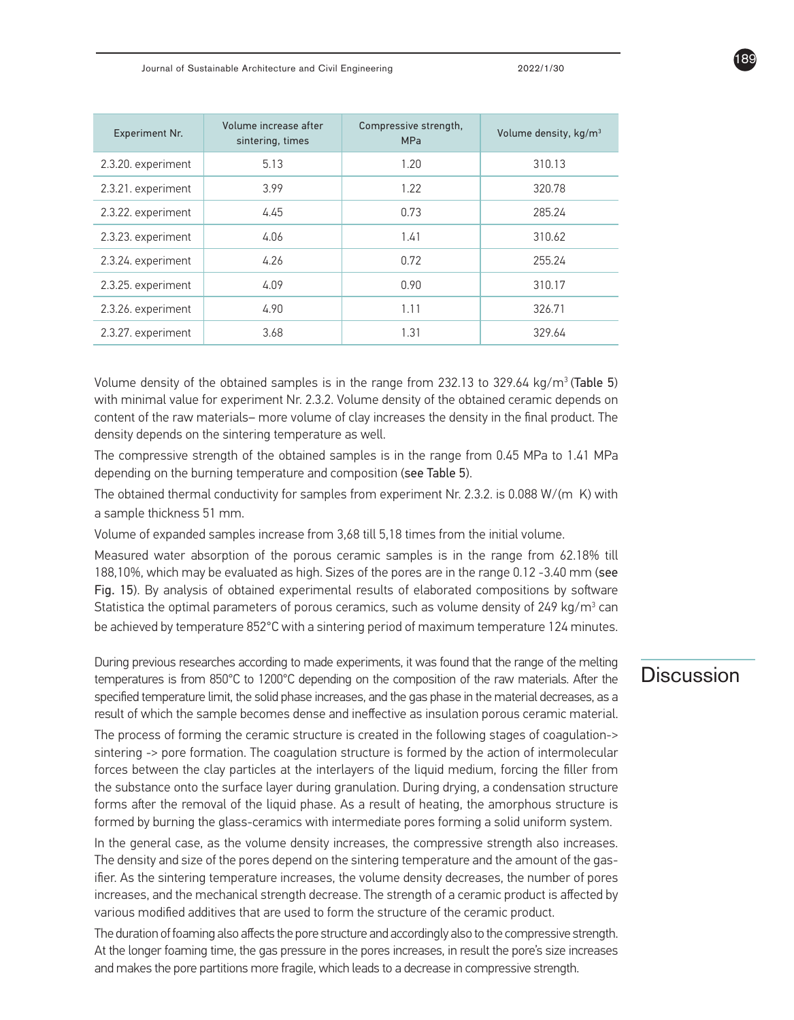Journal of Sustainable Architecture and Civil Engineering 2022/1/30

| <b>Experiment Nr.</b> | Volume increase after<br>sintering, times | Compressive strength,<br><b>MPa</b> | Volume density, kg/m <sup>3</sup> |
|-----------------------|-------------------------------------------|-------------------------------------|-----------------------------------|
| 2.3.20. experiment    | 5.13                                      | 1.20                                | 310.13                            |
| 2.3.21. experiment    | 3.99                                      | 1.22                                | 320.78                            |
| 2.3.22. experiment    | 4.45                                      | 0.73                                | 285.24                            |
| 2.3.23. experiment    | 4.06                                      | 1.41                                | 310.62                            |
| 2.3.24. experiment    | 4.26                                      | 0.72                                | 255.24                            |
| 2.3.25. experiment    | 4.09                                      | 0.90                                | 310.17                            |
| 2.3.26. experiment    | 4.90                                      | 1.11                                | 326.71                            |
| 2.3.27. experiment    | 3.68                                      | 1.31                                | 329.64                            |

Volume density of the obtained samples is in the range from 232.13 to 329.64 kg/m3 (Table 5) with minimal value for experiment Nr. 2.3.2. Volume density of the obtained ceramic depends on content of the raw materials– more volume of clay increases the density in the final product. The density depends on the sintering temperature as well.

The compressive strength of the obtained samples is in the range from 0.45 MPa to 1.41 MPa depending on the burning temperature and composition (see Table 5).

The obtained thermal conductivity for samples from experiment Nr. 2.3.2. is 0.088 W/(m K) with a sample thickness 51 mm.

Volume of expanded samples increase from 3,68 till 5,18 times from the initial volume.

Measured water absorption of the porous ceramic samples is in the range from 62.18% till 188,10%, which may be evaluated as high. Sizes of the pores are in the range 0.12 -3.40 mm (see Fig. 15). By analysis of obtained experimental results of elaborated compositions by software Statistica the optimal parameters of porous ceramics, such as volume density of 249 kg/m $^3$  can be achieved by temperature 852°C with a sintering period of maximum temperature 124 minutes.

During previous researches according to made experiments, it was found that the range of the melting  $\overline{\phantom{a}}$   $\overline{\phantom{a}}$ specified temperature limit, the solid phase increases, and the gas phase in the material decreases, as a result of which the sample becomes dense and ineffective as insulation porous ceramic material.

The process of forming the ceramic structure is created in the following stages of coagulation-> sintering -> pore formation. The coagulation structure is formed by the action of intermolecular forces between the clay particles at the interlayers of the liquid medium, forcing the filler from the substance onto the surface layer during granulation. During drying, a condensation structure forms after the removal of the liquid phase. As a result of heating, the amorphous structure is formed by burning the glass-ceramics with intermediate pores forming a solid uniform system.

In the general case, as the volume density increases, the compressive strength also increases. The density and size of the pores depend on the sintering temperature and the amount of the gasifier. As the sintering temperature increases, the volume density decreases, the number of pores increases, and the mechanical strength decrease. The strength of a ceramic product is affected by various modified additives that are used to form the structure of the ceramic product.

The duration of foaming also affects the pore structure and accordingly also to the compressive strength. At the longer foaming time, the gas pressure in the pores increases, in result the pore's size increases and makes the pore partitions more fragile, which leads to a decrease in compressive strength.

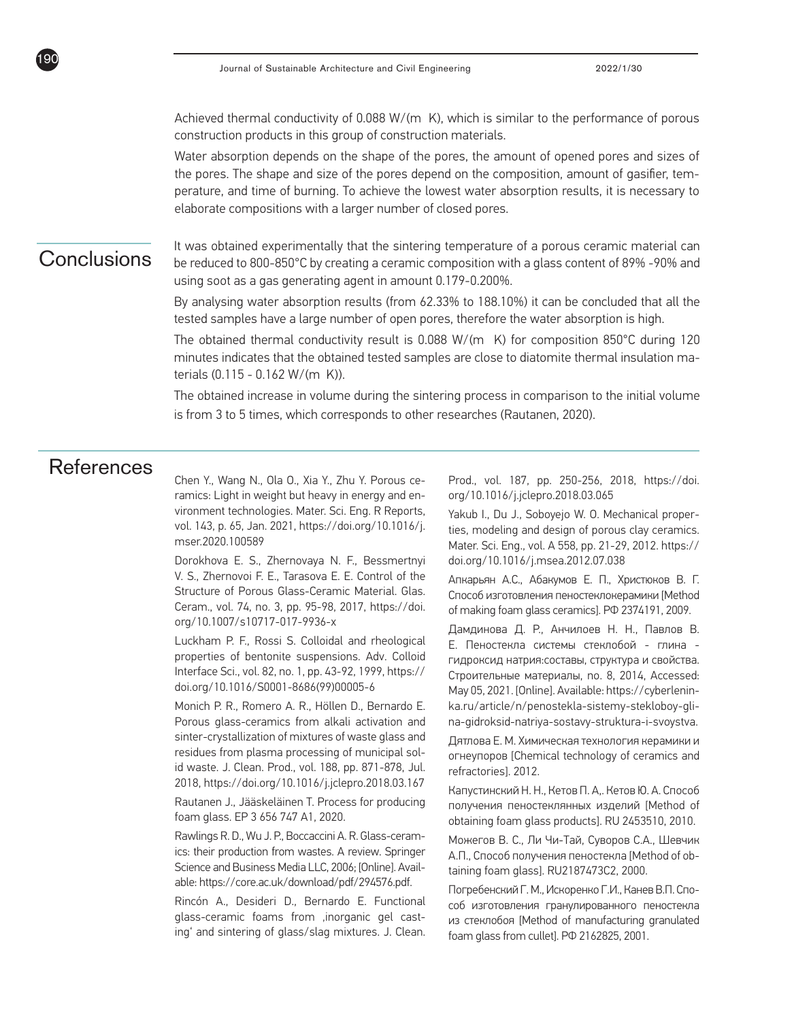Achieved thermal conductivity of 0.088 W/(m K), which is similar to the performance of porous construction products in this group of construction materials.

Water absorption depends on the shape of the pores, the amount of opened pores and sizes of the pores. The shape and size of the pores depend on the composition, amount of gasifier, temperature, and time of burning. To achieve the lowest water absorption results, it is necessary to elaborate compositions with a larger number of closed pores.

190

The sintering temperature of a porous ceramic material can **Conclusions**<br>**Conclusions** be reduced to 800-850°C by creating a ceramic composition with a glass content of 89% -90% and using soot as a gas generating agent in amount 0.179-0.200%.

> By analysing water absorption results (from 62.33% to 188.10%) it can be concluded that all the tested samples have a large number of open pores, therefore the water absorption is high.

> The obtained thermal conductivity result is  $0.088 W/(m K)$  for composition  $850^{\circ}$ C during 120 minutes indicates that the obtained tested samples are close to diatomite thermal insulation materials (0.115 - 0.162 W/(m K)).

> The obtained increase in volume during the sintering process in comparison to the initial volume is from 3 to 5 times, which corresponds to other researches (Rautanen, 2020).

# References

Chen Y., Wang N., Ola O., Xia Y., Zhu Y. Porous ceramics: Light in weight but heavy in energy and environment technologies. Mater. Sci. Eng. R Reports, vol. 143, p. 65, Jan. 2021, https://doi.org/10.1016/j. mser.2020.100589

Dorokhova E. S., Zhernovaya N. F., Bessmertnyi V. S., Zhernovoi F. E., Tarasova E. E. Control of the Structure of Porous Glass-Ceramic Material. Glas. Ceram., vol. 74, no. 3, pp. 95-98, 2017, https://doi. org/10.1007/s10717-017-9936-x

Luckham P. F., Rossi S. Colloidal and rheological properties of bentonite suspensions. Adv. Colloid Interface Sci., vol. 82, no. 1, pp. 43-92, 1999, https:// doi.org/10.1016/S0001-8686(99)00005-6

Monich P. R., Romero A. R., Höllen D., Bernardo E. Porous glass-ceramics from alkali activation and sinter-crystallization of mixtures of waste glass and residues from plasma processing of municipal solid waste. J. Clean. Prod., vol. 188, pp. 871-878, Jul. 2018, https://doi.org/10.1016/j.jclepro.2018.03.167

Rautanen J., Jääskeläinen T. Process for producing foam glass. EP 3 656 747 A1, 2020.

Rawlings R. D., Wu J. P., Boccaccini A. R. Glass-ceramics: their production from wastes. A review. Springer Science and Business Media LLC, 2006; [Online]. Available: https://core.ac.uk/download/pdf/294576.pdf.

Rincón A., Desideri D., Bernardo E. Functional glass-ceramic foams from ,inorganic gel casting' and sintering of glass/slag mixtures. J. Clean. Prod., vol. 187, pp. 250-256, 2018, https://doi. org/10.1016/j.jclepro.2018.03.065

Yakub I., Du J., Soboyejo W. O. Mechanical properties, modeling and design of porous clay ceramics. Mater. Sci. Eng., vol. A 558, pp. 21-29, 2012. https:// doi.org/10.1016/j.msea.2012.07.038

Апкарьян А.С., Абакумов Е. П., Христюков В. Г. Способ изготовления пеностеклокерамики [Method of making foam glass ceramics]. РФ 2374191, 2009.

Дамдинова Д. Р., Анчилоев Н. Н., Павлов В. Е. Пеностекла системы стеклобой - глина гидроксид натрия:составы, структура и свойства. Строительные материалы, no. 8, 2014, Accessed: May 05, 2021. [Online]. Available: https://cyberleninka.ru/article/n/penostekla-sistemy-stekloboy-glina-gidroksid-natriya-sostavy-struktura-i-svoystva.

Дятлова Е. М. Химическая технология керамики и огнеупоров [Chemical technology of ceramics and refractories]. 2012.

Капустинский Н. Н., Кетов П. А,. Кетов Ю. А. Способ получения пеностеклянных изделий [Method of obtaining foam glass products]. RU 2453510, 2010.

Можегов В. С., Ли Чи-Тай, Суворов С.А., Шевчик А.П., Способ получения пеностекла [Method of obtaining foam glass]. RU2187473C2, 2000.

Погребенский Г. М., Искоренко Г.И., Канев В.П. Способ изготовления гранулированного пеностекла из стеклобоя [Method of manufacturing granulated foam glass from cullet]. РФ 2162825, 2001.